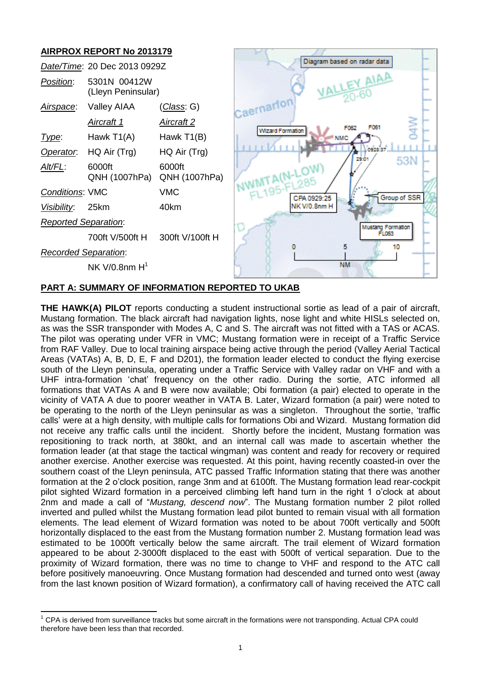# **AIRPROX REPORT No 2013179** *Date/Time*: 20 Dec 2013 0929Z *Position*: 5301N 00412W (Lleyn Peninsular) Caernarfor *Airspace*: Valley AIAA (*Class*: G) *Aircraft 1 Aircraft 2* **Wizard Formation** *Type*: Hawk T1(A) Hawk T1(B) *Operator*: HQ Air (Trg) HQ Air (Trg) *Alt/FL*: 6000ft 6000ft QNH (1007hPa) QNH (1007hPa) *Conditions*: VMC VMC

*Reported Separation*:

700ft V/500ft H 300ft V/100ft H

*Recorded Separation*:

 $\overline{\phantom{a}}$ 

 $NK$  V/0.8nm  $H<sup>1</sup>$ 

*Visibility*: 25km 40km



## **PART A: SUMMARY OF INFORMATION REPORTED TO UKAB**

**THE HAWK(A) PILOT** reports conducting a student instructional sortie as lead of a pair of aircraft, Mustang formation. The black aircraft had navigation lights, nose light and white HISLs selected on, as was the SSR transponder with Modes A, C and S. The aircraft was not fitted with a TAS or ACAS. The pilot was operating under VFR in VMC; Mustang formation were in receipt of a Traffic Service from RAF Valley. Due to local training airspace being active through the period (Valley Aerial Tactical Areas (VATAs) A, B, D, E, F and D201), the formation leader elected to conduct the flying exercise south of the Lleyn peninsula, operating under a Traffic Service with Valley radar on VHF and with a UHF intra-formation 'chat' frequency on the other radio. During the sortie, ATC informed all formations that VATAs A and B were now available; Obi formation (a pair) elected to operate in the vicinity of VATA A due to poorer weather in VATA B. Later, Wizard formation (a pair) were noted to be operating to the north of the Lleyn peninsular as was a singleton. Throughout the sortie, 'traffic calls' were at a high density, with multiple calls for formations Obi and Wizard. Mustang formation did not receive any traffic calls until the incident. Shortly before the incident, Mustang formation was repositioning to track north, at 380kt, and an internal call was made to ascertain whether the formation leader (at that stage the tactical wingman) was content and ready for recovery or required another exercise. Another exercise was requested. At this point, having recently coasted-in over the southern coast of the Lleyn peninsula, ATC passed Traffic Information stating that there was another formation at the 2 o'clock position, range 3nm and at 6100ft. The Mustang formation lead rear-cockpit pilot sighted Wizard formation in a perceived climbing left hand turn in the right 1 o'clock at about 2nm and made a call of "*Mustang, descend now*". The Mustang formation number 2 pilot rolled inverted and pulled whilst the Mustang formation lead pilot bunted to remain visual with all formation elements. The lead element of Wizard formation was noted to be about 700ft vertically and 500ft horizontally displaced to the east from the Mustang formation number 2. Mustang formation lead was estimated to be 1000ft vertically below the same aircraft. The trail element of Wizard formation appeared to be about 2-3000ft displaced to the east with 500ft of vertical separation. Due to the proximity of Wizard formation, there was no time to change to VHF and respond to the ATC call before positively manoeuvring. Once Mustang formation had descended and turned onto west (away from the last known position of Wizard formation), a confirmatory call of having received the ATC call

 $1$  CPA is derived from surveillance tracks but some aircraft in the formations were not transponding. Actual CPA could therefore have been less than that recorded.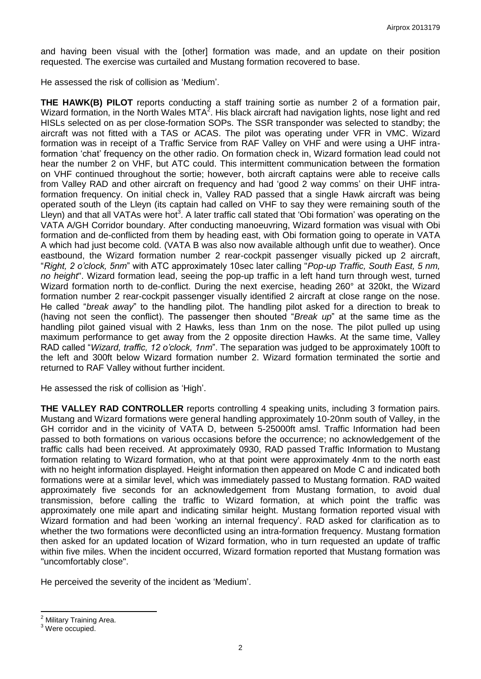and having been visual with the [other] formation was made, and an update on their position requested. The exercise was curtailed and Mustang formation recovered to base.

He assessed the risk of collision as 'Medium'.

**THE HAWK(B) PILOT** reports conducting a staff training sortie as number 2 of a formation pair, Wizard formation, in the North Wales MTA<sup>2</sup>. His black aircraft had navigation lights, nose light and red HISLs selected on as per close-formation SOPs. The SSR transponder was selected to standby; the aircraft was not fitted with a TAS or ACAS. The pilot was operating under VFR in VMC. Wizard formation was in receipt of a Traffic Service from RAF Valley on VHF and were using a UHF intraformation 'chat' frequency on the other radio. On formation check in, Wizard formation lead could not hear the number 2 on VHF, but ATC could. This intermittent communication between the formation on VHF continued throughout the sortie; however, both aircraft captains were able to receive calls from Valley RAD and other aircraft on frequency and had 'good 2 way comms' on their UHF intraformation frequency. On initial check in, Valley RAD passed that a single Hawk aircraft was being operated south of the Lleyn (its captain had called on VHF to say they were remaining south of the Lleyn) and that all VATAs were hot<sup>3</sup>. A later traffic call stated that 'Obi formation' was operating on the VATA A/GH Corridor boundary. After conducting manoeuvring, Wizard formation was visual with Obi formation and de-conflicted from them by heading east, with Obi formation going to operate in VATA A which had just become cold. (VATA B was also now available although unfit due to weather). Once eastbound, the Wizard formation number 2 rear-cockpit passenger visually picked up 2 aircraft, "*Right, 2 o'clock, 5nm*" with ATC approximately 10sec later calling "*Pop-up Traffic, South East, 5 nm, no height*". Wizard formation lead, seeing the pop-up traffic in a left hand turn through west, turned Wizard formation north to de-conflict. During the next exercise, heading 260° at 320kt, the Wizard formation number 2 rear-cockpit passenger visually identified 2 aircraft at close range on the nose. He called "*break away*" to the handling pilot. The handling pilot asked for a direction to break to (having not seen the conflict). The passenger then shouted "*Break up*" at the same time as the handling pilot gained visual with 2 Hawks, less than 1nm on the nose. The pilot pulled up using maximum performance to get away from the 2 opposite direction Hawks. At the same time, Valley RAD called "*Wizard, traffic, 12 o'clock, 1nm*". The separation was judged to be approximately 100ft to the left and 300ft below Wizard formation number 2. Wizard formation terminated the sortie and returned to RAF Valley without further incident.

He assessed the risk of collision as 'High'.

**THE VALLEY RAD CONTROLLER** reports controlling 4 speaking units, including 3 formation pairs. Mustang and Wizard formations were general handling approximately 10-20nm south of Valley, in the GH corridor and in the vicinity of VATA D, between 5-25000ft amsl. Traffic Information had been passed to both formations on various occasions before the occurrence; no acknowledgement of the traffic calls had been received. At approximately 0930, RAD passed Traffic Information to Mustang formation relating to Wizard formation, who at that point were approximately 4nm to the north east with no height information displayed. Height information then appeared on Mode C and indicated both formations were at a similar level, which was immediately passed to Mustang formation. RAD waited approximately five seconds for an acknowledgement from Mustang formation, to avoid dual transmission, before calling the traffic to Wizard formation, at which point the traffic was approximately one mile apart and indicating similar height. Mustang formation reported visual with Wizard formation and had been 'working an internal frequency'. RAD asked for clarification as to whether the two formations were deconflicted using an intra-formation frequency. Mustang formation then asked for an updated location of Wizard formation, who in turn requested an update of traffic within five miles. When the incident occurred, Wizard formation reported that Mustang formation was "uncomfortably close".

He perceived the severity of the incident as 'Medium'.

 $\overline{\phantom{a}}$ 

**Military Training Area.** 

<sup>3</sup> Were occupied.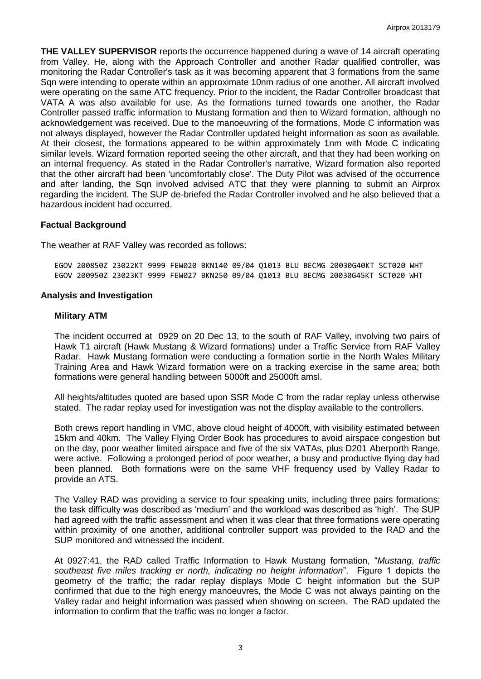**THE VALLEY SUPERVISOR** reports the occurrence happened during a wave of 14 aircraft operating from Valley. He, along with the Approach Controller and another Radar qualified controller, was monitoring the Radar Controller's task as it was becoming apparent that 3 formations from the same Sqn were intending to operate within an approximate 10nm radius of one another. All aircraft involved were operating on the same ATC frequency. Prior to the incident, the Radar Controller broadcast that VATA A was also available for use. As the formations turned towards one another, the Radar Controller passed traffic information to Mustang formation and then to Wizard formation, although no acknowledgement was received. Due to the manoeuvring of the formations, Mode C information was not always displayed, however the Radar Controller updated height information as soon as available. At their closest, the formations appeared to be within approximately 1nm with Mode C indicating similar levels. Wizard formation reported seeing the other aircraft, and that they had been working on an internal frequency. As stated in the Radar Controller's narrative, Wizard formation also reported that the other aircraft had been 'uncomfortably close'. The Duty Pilot was advised of the occurrence and after landing, the Sqn involved advised ATC that they were planning to submit an Airprox regarding the incident. The SUP de-briefed the Radar Controller involved and he also believed that a hazardous incident had occurred.

## **Factual Background**

The weather at RAF Valley was recorded as follows:

EGOV 200850Z 23022KT 9999 FEW020 BKN140 09/04 Q1013 BLU BECMG 20030G40KT SCT020 WHT EGOV 200950Z 23023KT 9999 FEW027 BKN250 09/04 Q1013 BLU BECMG 20030G45KT SCT020 WHT

#### **Analysis and Investigation**

#### **Military ATM**

The incident occurred at 0929 on 20 Dec 13, to the south of RAF Valley, involving two pairs of Hawk T1 aircraft (Hawk Mustang & Wizard formations) under a Traffic Service from RAF Valley Radar. Hawk Mustang formation were conducting a formation sortie in the North Wales Military Training Area and Hawk Wizard formation were on a tracking exercise in the same area; both formations were general handling between 5000ft and 25000ft amsl.

All heights/altitudes quoted are based upon SSR Mode C from the radar replay unless otherwise stated. The radar replay used for investigation was not the display available to the controllers.

Both crews report handling in VMC, above cloud height of 4000ft, with visibility estimated between 15km and 40km. The Valley Flying Order Book has procedures to avoid airspace congestion but on the day, poor weather limited airspace and five of the six VATAs, plus D201 Aberporth Range, were active. Following a prolonged period of poor weather, a busy and productive flying day had been planned. Both formations were on the same VHF frequency used by Valley Radar to provide an ATS.

The Valley RAD was providing a service to four speaking units, including three pairs formations; the task difficulty was described as 'medium' and the workload was described as 'high'. The SUP had agreed with the traffic assessment and when it was clear that three formations were operating within proximity of one another, additional controller support was provided to the RAD and the SUP monitored and witnessed the incident.

At 0927:41, the RAD called Traffic Information to Hawk Mustang formation, "*Mustang*, *traffic southeast five miles tracking er north, indicating no height information*". Figure 1 depicts the geometry of the traffic; the radar replay displays Mode C height information but the SUP confirmed that due to the high energy manoeuvres, the Mode C was not always painting on the Valley radar and height information was passed when showing on screen. The RAD updated the information to confirm that the traffic was no longer a factor.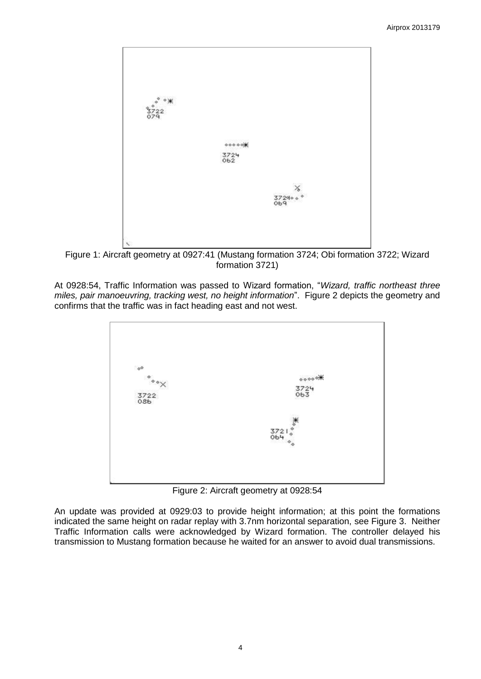

Figure 1: Aircraft geometry at 0927:41 (Mustang formation 3724; Obi formation 3722; Wizard formation 3721)

At 0928:54, Traffic Information was passed to Wizard formation, "*Wizard, traffic northeast three miles, pair manoeuvring, tracking west, no height information*". Figure 2 depicts the geometry and confirms that the traffic was in fact heading east and not west.



Figure 2: Aircraft geometry at 0928:54

An update was provided at 0929:03 to provide height information; at this point the formations indicated the same height on radar replay with 3.7nm horizontal separation, see Figure 3. Neither Traffic Information calls were acknowledged by Wizard formation. The controller delayed his transmission to Mustang formation because he waited for an answer to avoid dual transmissions.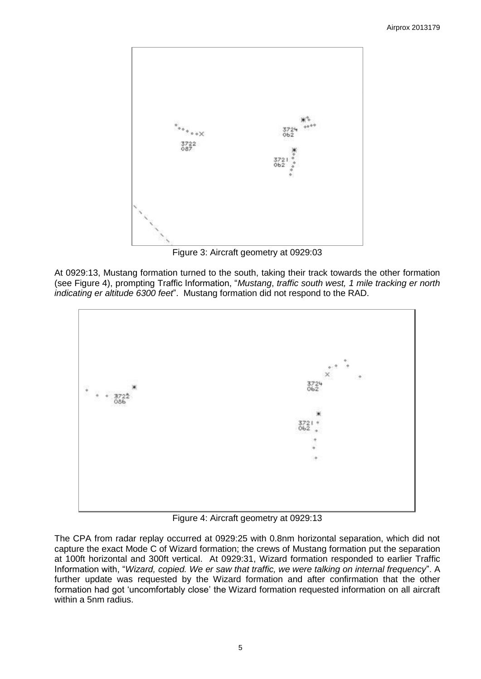

Figure 3: Aircraft geometry at 0929:03

At 0929:13, Mustang formation turned to the south, taking their track towards the other formation (see Figure 4), prompting Traffic Information, "*Mustang*, *traffic south west, 1 mile tracking er north indicating er altitude 6300 feet*". Mustang formation did not respond to the RAD.



Figure 4: Aircraft geometry at 0929:13

The CPA from radar replay occurred at 0929:25 with 0.8nm horizontal separation, which did not capture the exact Mode C of Wizard formation; the crews of Mustang formation put the separation at 100ft horizontal and 300ft vertical. At 0929:31, Wizard formation responded to earlier Traffic Information with, "*Wizard, copied. We er saw that traffic, we were talking on internal frequency*". A further update was requested by the Wizard formation and after confirmation that the other formation had got 'uncomfortably close' the Wizard formation requested information on all aircraft within a 5nm radius.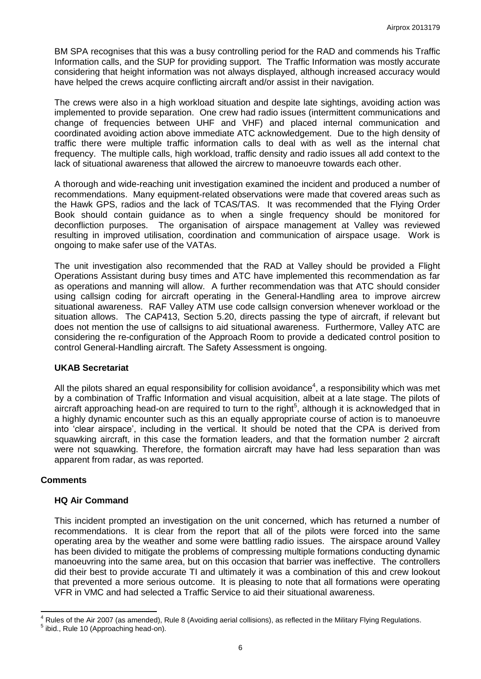BM SPA recognises that this was a busy controlling period for the RAD and commends his Traffic Information calls, and the SUP for providing support. The Traffic Information was mostly accurate considering that height information was not always displayed, although increased accuracy would have helped the crews acquire conflicting aircraft and/or assist in their navigation.

The crews were also in a high workload situation and despite late sightings, avoiding action was implemented to provide separation. One crew had radio issues (intermittent communications and change of frequencies between UHF and VHF) and placed internal communication and coordinated avoiding action above immediate ATC acknowledgement. Due to the high density of traffic there were multiple traffic information calls to deal with as well as the internal chat frequency. The multiple calls, high workload, traffic density and radio issues all add context to the lack of situational awareness that allowed the aircrew to manoeuvre towards each other.

A thorough and wide-reaching unit investigation examined the incident and produced a number of recommendations. Many equipment-related observations were made that covered areas such as the Hawk GPS, radios and the lack of TCAS/TAS. It was recommended that the Flying Order Book should contain guidance as to when a single frequency should be monitored for deconfliction purposes. The organisation of airspace management at Valley was reviewed resulting in improved utilisation, coordination and communication of airspace usage. Work is ongoing to make safer use of the VATAs.

The unit investigation also recommended that the RAD at Valley should be provided a Flight Operations Assistant during busy times and ATC have implemented this recommendation as far as operations and manning will allow. A further recommendation was that ATC should consider using callsign coding for aircraft operating in the General-Handling area to improve aircrew situational awareness. RAF Valley ATM use code callsign conversion whenever workload or the situation allows. The CAP413, Section 5.20, directs passing the type of aircraft, if relevant but does not mention the use of callsigns to aid situational awareness. Furthermore, Valley ATC are considering the re-configuration of the Approach Room to provide a dedicated control position to control General-Handling aircraft. The Safety Assessment is ongoing.

## **UKAB Secretariat**

All the pilots shared an equal responsibility for collision avoidance<sup>4</sup>, a responsibility which was met by a combination of Traffic Information and visual acquisition, albeit at a late stage. The pilots of aircraft approaching head-on are required to turn to the right<sup>5</sup>, although it is acknowledged that in a highly dynamic encounter such as this an equally appropriate course of action is to manoeuvre into 'clear airspace', including in the vertical. It should be noted that the CPA is derived from squawking aircraft, in this case the formation leaders, and that the formation number 2 aircraft were not squawking. Therefore, the formation aircraft may have had less separation than was apparent from radar, as was reported.

#### **Comments**

#### **HQ Air Command**

This incident prompted an investigation on the unit concerned, which has returned a number of recommendations. It is clear from the report that all of the pilots were forced into the same operating area by the weather and some were battling radio issues. The airspace around Valley has been divided to mitigate the problems of compressing multiple formations conducting dynamic manoeuvring into the same area, but on this occasion that barrier was ineffective. The controllers did their best to provide accurate TI and ultimately it was a combination of this and crew lookout that prevented a more serious outcome. It is pleasing to note that all formations were operating VFR in VMC and had selected a Traffic Service to aid their situational awareness.

 $\overline{\phantom{a}}$ <sup>4</sup> Rules of the Air 2007 (as amended), Rule 8 (Avoiding aerial collisions), as reflected in the Military Flying Regulations. <sup>5</sup> ibid., Rule 10 (Approaching head-on).